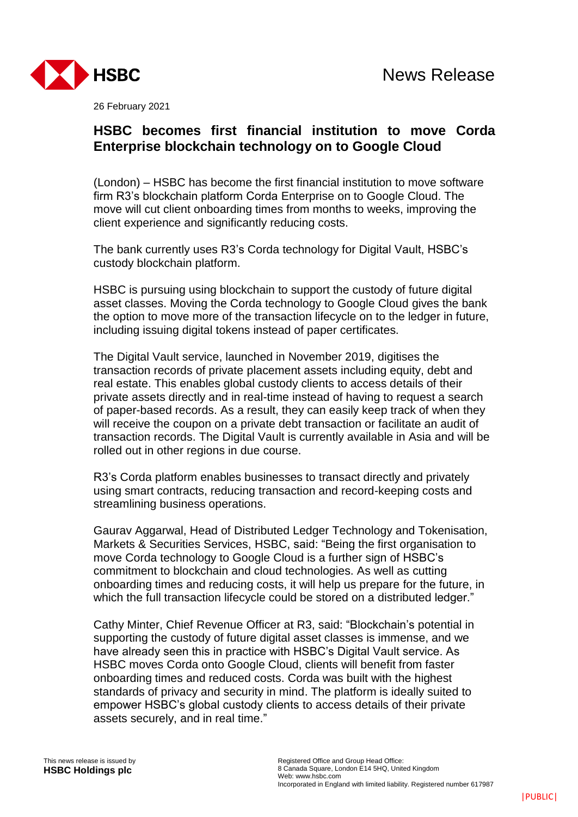

26 February 2021

# **HSBC becomes first financial institution to move Corda Enterprise blockchain technology on to Google Cloud**

(London) – HSBC has become the first financial institution to move software firm R3's blockchain platform Corda Enterprise on to Google Cloud. The move will cut client onboarding times from months to weeks, improving the client experience and significantly reducing costs.

The bank currently uses R3's Corda technology for Digital Vault, HSBC's custody blockchain platform.

HSBC is pursuing using blockchain to support the custody of future digital asset classes. Moving the Corda technology to Google Cloud gives the bank the option to move more of the transaction lifecycle on to the ledger in future, including issuing digital tokens instead of paper certificates.

The Digital Vault service, launched in November 2019, digitises the transaction records of private placement assets including equity, debt and real estate. This enables global custody clients to access details of their private assets directly and in real-time instead of having to request a search of paper-based records. As a result, they can easily keep track of when they will receive the coupon on a private debt transaction or facilitate an audit of transaction records. The Digital Vault is currently available in Asia and will be rolled out in other regions in due course.

R3's Corda platform enables businesses to transact directly and privately using smart contracts, reducing transaction and record-keeping costs and streamlining business operations.

Gaurav Aggarwal, Head of Distributed Ledger Technology and Tokenisation, Markets & Securities Services, HSBC, said: "Being the first organisation to move Corda technology to Google Cloud is a further sign of HSBC's commitment to blockchain and cloud technologies. As well as cutting onboarding times and reducing costs, it will help us prepare for the future, in which the full transaction lifecycle could be stored on a distributed ledger."

Cathy Minter, Chief Revenue Officer at R3, said: "Blockchain's potential in supporting the custody of future digital asset classes is immense, and we have already seen this in practice with HSBC's Digital Vault service. As HSBC moves Corda onto Google Cloud, clients will benefit from faster onboarding times and reduced costs. Corda was built with the highest standards of privacy and security in mind. The platform is ideally suited to empower HSBC's global custody clients to access details of their private assets securely, and in real time."